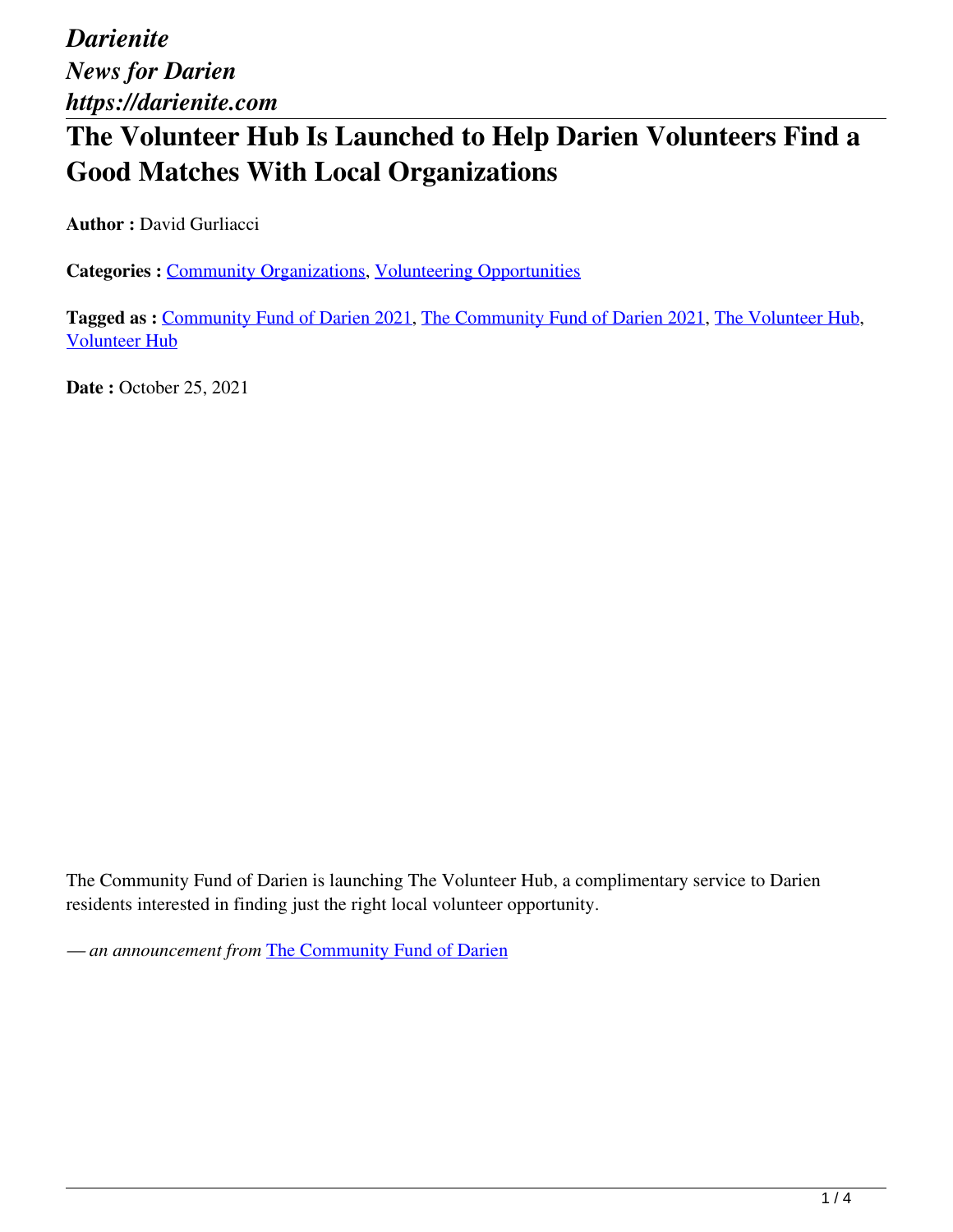# **The Volunteer Hub Is Launched to Help Darien Volunteers Find a Good Matches With Local Organizations**

**Author : David Gurliacci** 

**Categories :** [Community Organizations,](https://darienite.com/category/news/community-organizations) Volunteering Opportunities

**Tagged as :** Community Fund of Darien 2021, The Community Fund of Darien 2021, The Volunteer Hub, Volunteer Hub

**Date :** October 25, 2021

The Community Fund of Darien is launching The Volunteer Hub, a complimentary service to Darien residents interested in finding just the right local volunteer opportunity.

*— an announcement from* The Community Fund of Darien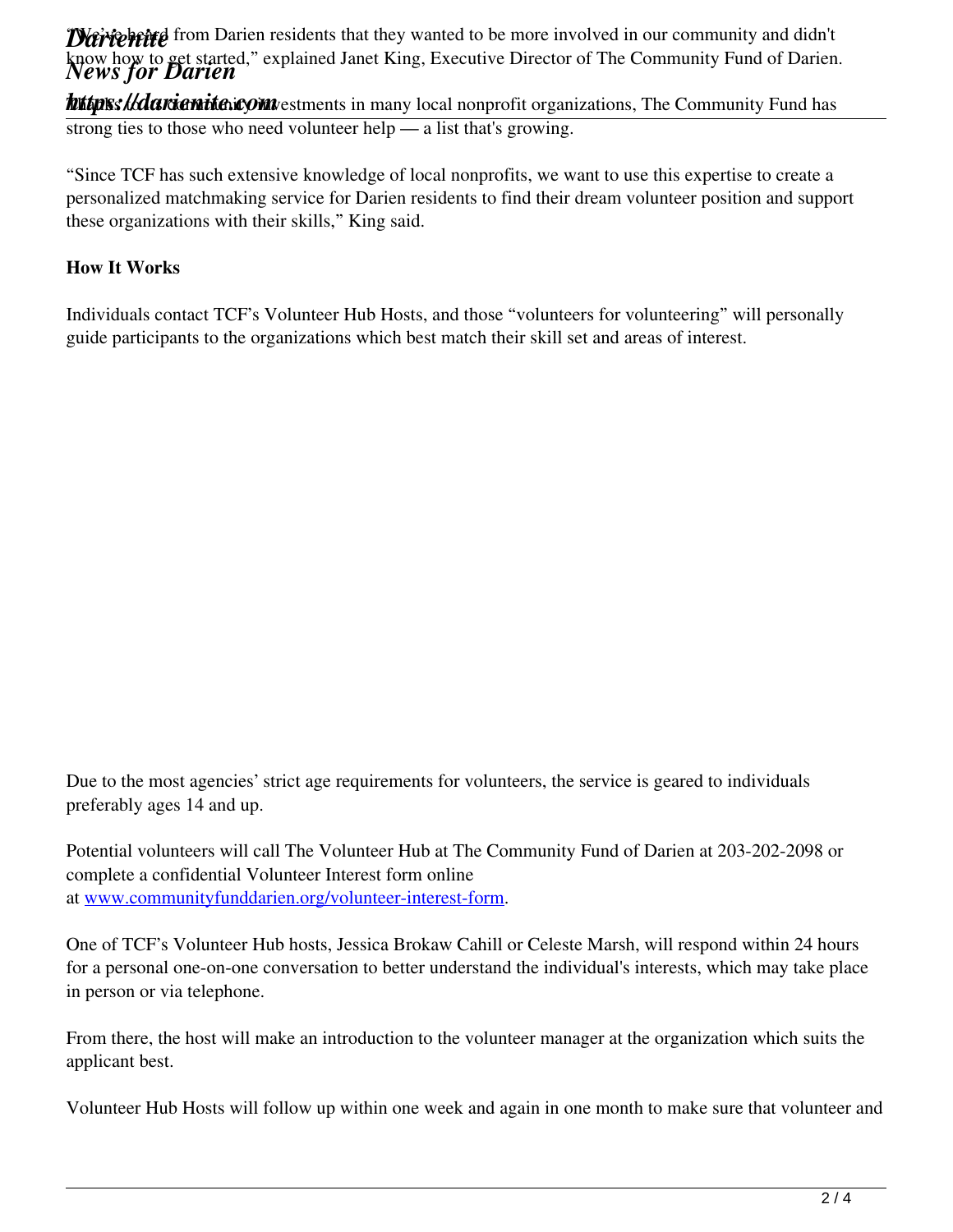**Darienite** from Darien residents that they wanted to be more involved in our community and didn't know how to get started," explained Janet King, Executive Director of The Community Fund of Darien.<br>News for Darien

**hutpis: lidarienite.com** estments in many local nonprofit organizations, The Community Fund has strong ties to those who need volunteer help — a list that's growing.

"Since TCF has such extensive knowledge of local nonprofits, we want to use this expertise to create a personalized matchmaking service for Darien residents to find their dream volunteer position and support these organizations with their skills," King said.

### **How It Works**

Individuals contact TCF's Volunteer Hub Hosts, and those "volunteers for volunteering" will personally guide participants to the organizations which best match their skill set and areas of interest.

Due to the most agencies' strict age requirements for volunteers, the service is geared to individuals preferably ages 14 and up.

Potential volunteers will call The Volunteer Hub at The Community Fund of Darien at 203-202-2098 or complete a confidential Volunteer Interest form online at www.communityfunddarien.org/volunteer-interest-form.

One of TCF's Volunteer Hub hosts, Jessica Brokaw Cahill or Celeste Marsh, will respond within 24 hours for a personal one-on-one conversation to better understand the individual's interests, which may take place in person or via telephone.

From there, the host will make an introduction to the volunteer manager at the organization which suits the applicant best.

Volunteer Hub Hosts will follow up within one week and again in one month to make sure that volunteer and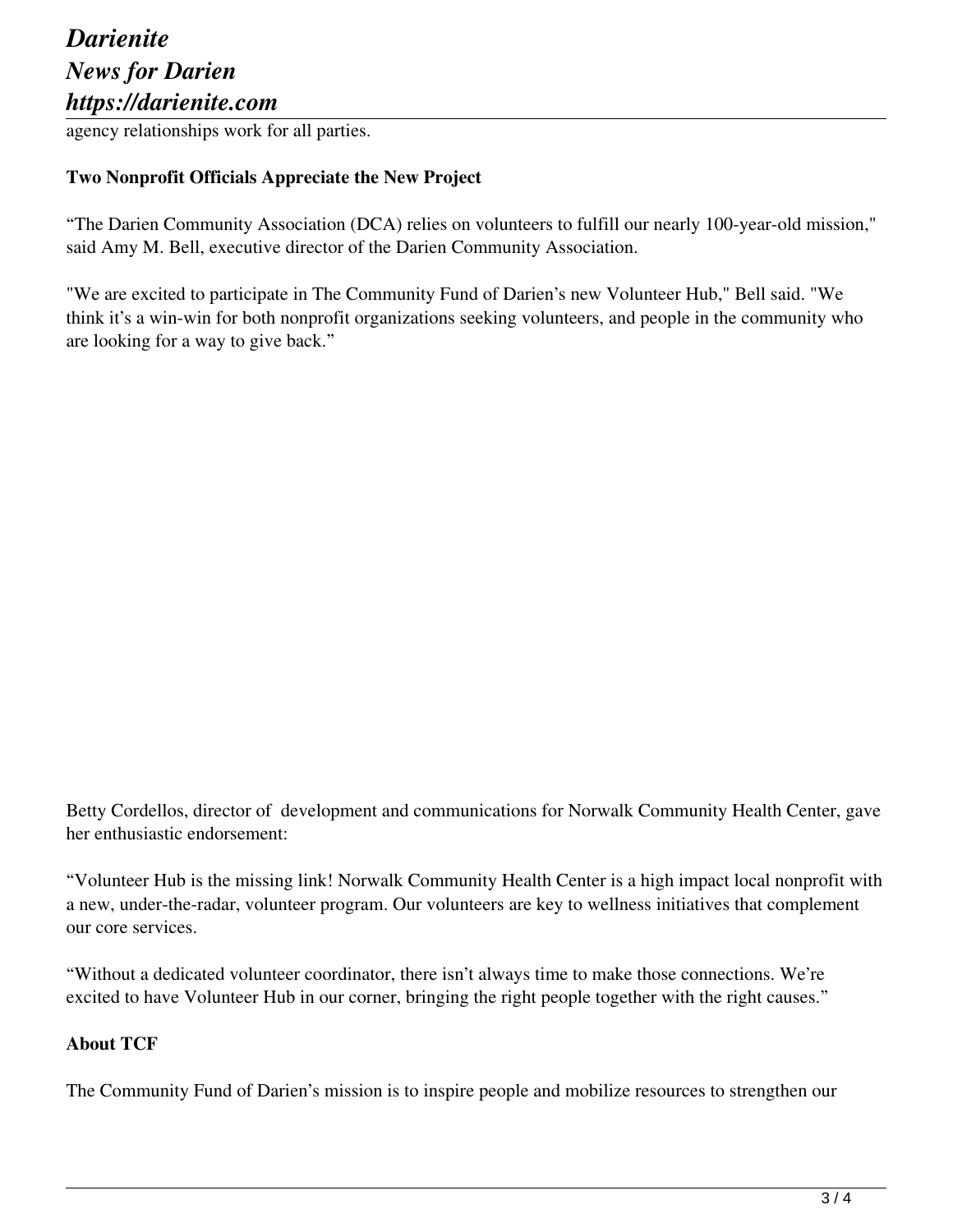## *Darienite News for Darien https://darienite.com*

agency relationships work for all parties.

#### **Two Nonprofit Officials Appreciate the New Project**

"The Darien Community Association (DCA) relies on volunteers to fulfill our nearly 100-year-old mission," said Amy M. Bell, executive director of the Darien Community Association.

"We are excited to participate in The Community Fund of Darien's new Volunteer Hub," Bell said. "We think it's a win-win for both nonprofit organizations seeking volunteers, and people in the community who are looking for a way to give back."

Betty Cordellos, director of development and communications for Norwalk Community Health Center, gave her enthusiastic endorsement:

"Volunteer Hub is the missing link! Norwalk Community Health Center is a high impact local nonprofit with a new, under-the-radar, volunteer program. Our volunteers are key to wellness initiatives that complement our core services.

"Without a dedicated volunteer coordinator, there isn't always time to make those connections. We're excited to have Volunteer Hub in our corner, bringing the right people together with the right causes."

#### **About TCF**

The Community Fund of Darien's mission is to inspire people and mobilize resources to strengthen our